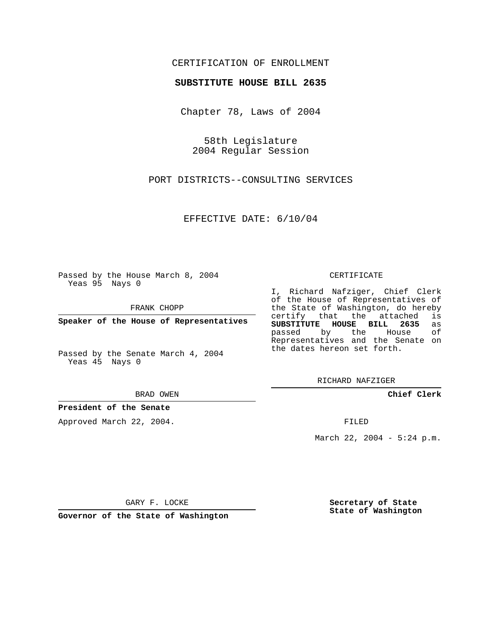## CERTIFICATION OF ENROLLMENT

### **SUBSTITUTE HOUSE BILL 2635**

Chapter 78, Laws of 2004

58th Legislature 2004 Regular Session

PORT DISTRICTS--CONSULTING SERVICES

EFFECTIVE DATE: 6/10/04

Passed by the House March 8, 2004 Yeas 95 Nays 0

FRANK CHOPP

**Speaker of the House of Representatives**

Passed by the Senate March 4, 2004 Yeas 45 Nays 0

#### BRAD OWEN

## **President of the Senate**

Approved March 22, 2004.

#### CERTIFICATE

I, Richard Nafziger, Chief Clerk of the House of Representatives of the State of Washington, do hereby<br>certify that the attached is certify that the attached **SUBSTITUTE HOUSE BILL 2635** as passed by the House Representatives and the Senate on the dates hereon set forth.

RICHARD NAFZIGER

**Chief Clerk**

FILED

March 22, 2004 - 5:24 p.m.

GARY F. LOCKE

**Governor of the State of Washington**

**Secretary of State State of Washington**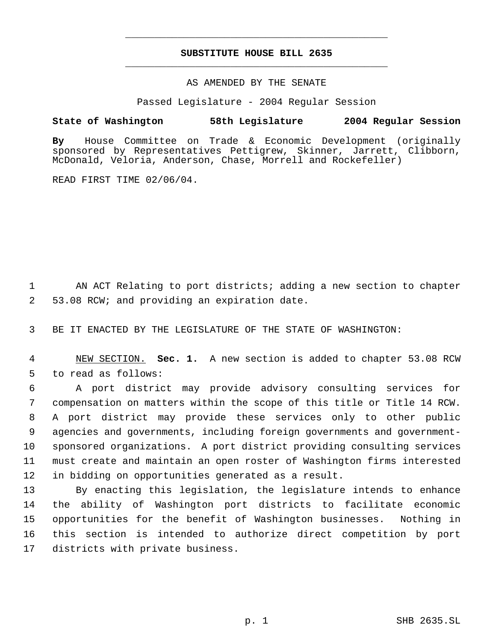# **SUBSTITUTE HOUSE BILL 2635** \_\_\_\_\_\_\_\_\_\_\_\_\_\_\_\_\_\_\_\_\_\_\_\_\_\_\_\_\_\_\_\_\_\_\_\_\_\_\_\_\_\_\_\_\_

\_\_\_\_\_\_\_\_\_\_\_\_\_\_\_\_\_\_\_\_\_\_\_\_\_\_\_\_\_\_\_\_\_\_\_\_\_\_\_\_\_\_\_\_\_

## AS AMENDED BY THE SENATE

Passed Legislature - 2004 Regular Session

## **State of Washington 58th Legislature 2004 Regular Session**

**By** House Committee on Trade & Economic Development (originally sponsored by Representatives Pettigrew, Skinner, Jarrett, Clibborn, McDonald, Veloria, Anderson, Chase, Morrell and Rockefeller)

READ FIRST TIME 02/06/04.

 AN ACT Relating to port districts; adding a new section to chapter 53.08 RCW; and providing an expiration date.

BE IT ENACTED BY THE LEGISLATURE OF THE STATE OF WASHINGTON:

 NEW SECTION. **Sec. 1.** A new section is added to chapter 53.08 RCW to read as follows:

 A port district may provide advisory consulting services for compensation on matters within the scope of this title or Title 14 RCW. A port district may provide these services only to other public agencies and governments, including foreign governments and government- sponsored organizations. A port district providing consulting services must create and maintain an open roster of Washington firms interested in bidding on opportunities generated as a result.

 By enacting this legislation, the legislature intends to enhance the ability of Washington port districts to facilitate economic opportunities for the benefit of Washington businesses. Nothing in this section is intended to authorize direct competition by port districts with private business.